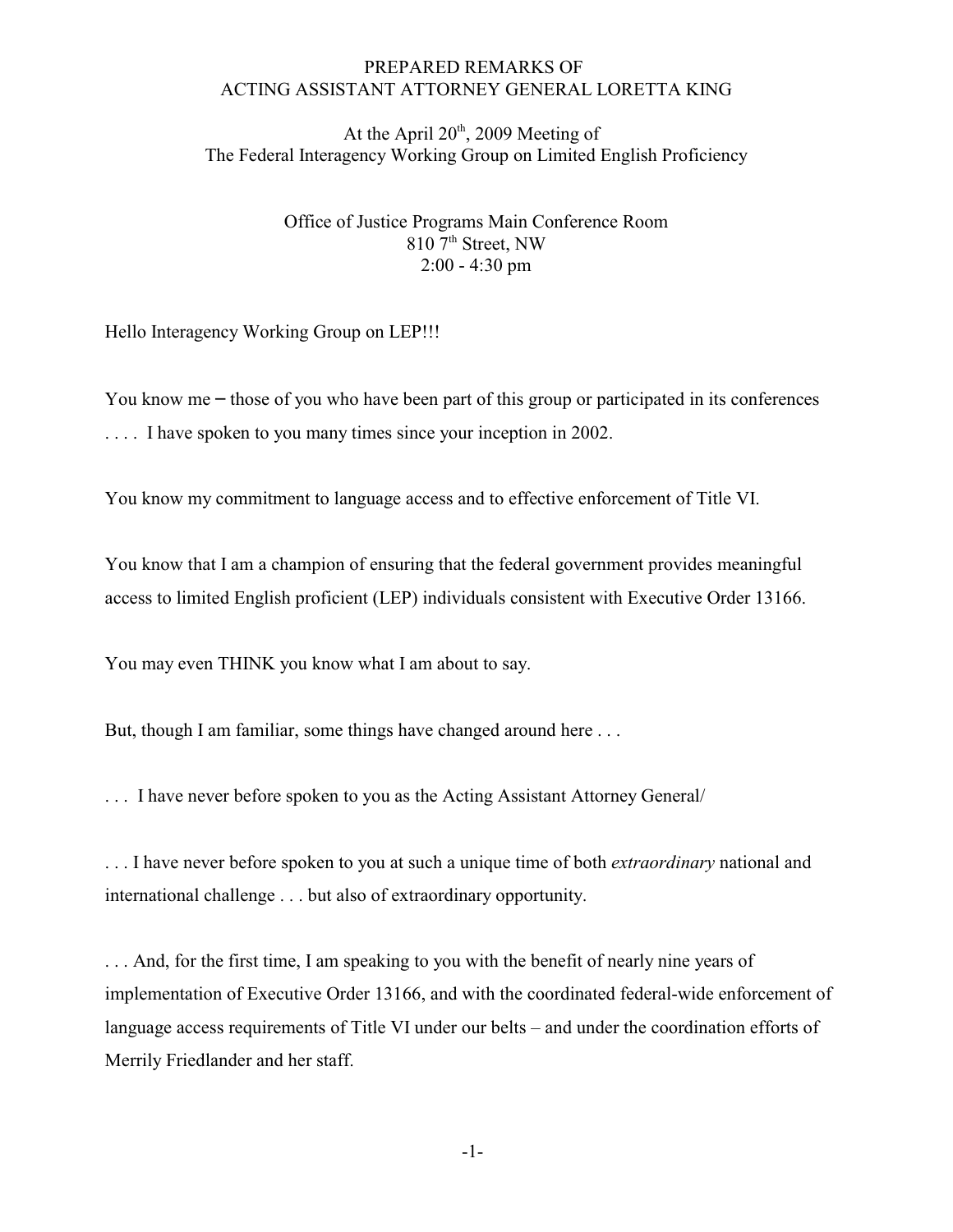## PREPARED REMARKS OF ACTING ASSISTANT ATTORNEY GENERAL LORETTA KING

At the April  $20<sup>th</sup>$ , 2009 Meeting of The Federal Interagency Working Group on Limited English Proficiency

> Office of Justice Programs Main Conference Room 810 7<sup>th</sup> Street, NW 2:00 - 4:30 pm

Hello Interagency Working Group on LEP!!!

You know me – those of you who have been part of this group or participated in its conferences .... I have spoken to you many times since your inception in 2002.

You know my commitment to language access and to effective enforcement of Title VI.

You know that I am a champion of ensuring that the federal government provides meaningful access to limited English proficient (LEP) individuals consistent with Executive Order 13166.

You may even THINK you know what I am about to say.

But, though I am familiar, some things have changed around here ...

. . . I have never before spoken to you as the Acting Assistant Attorney General/

. . . I have never before spoken to you at such a unique time of both *extraordinary* national and international challenge . . . but also of extraordinary opportunity.

. . . And, for the first time, I am speaking to you with the benefit of nearly nine years of implementation of Executive Order 13166, and with the coordinated federal-wide enforcement of language access requirements of Title VI under our belts – and under the coordination efforts of Merrily Friedlander and her staff.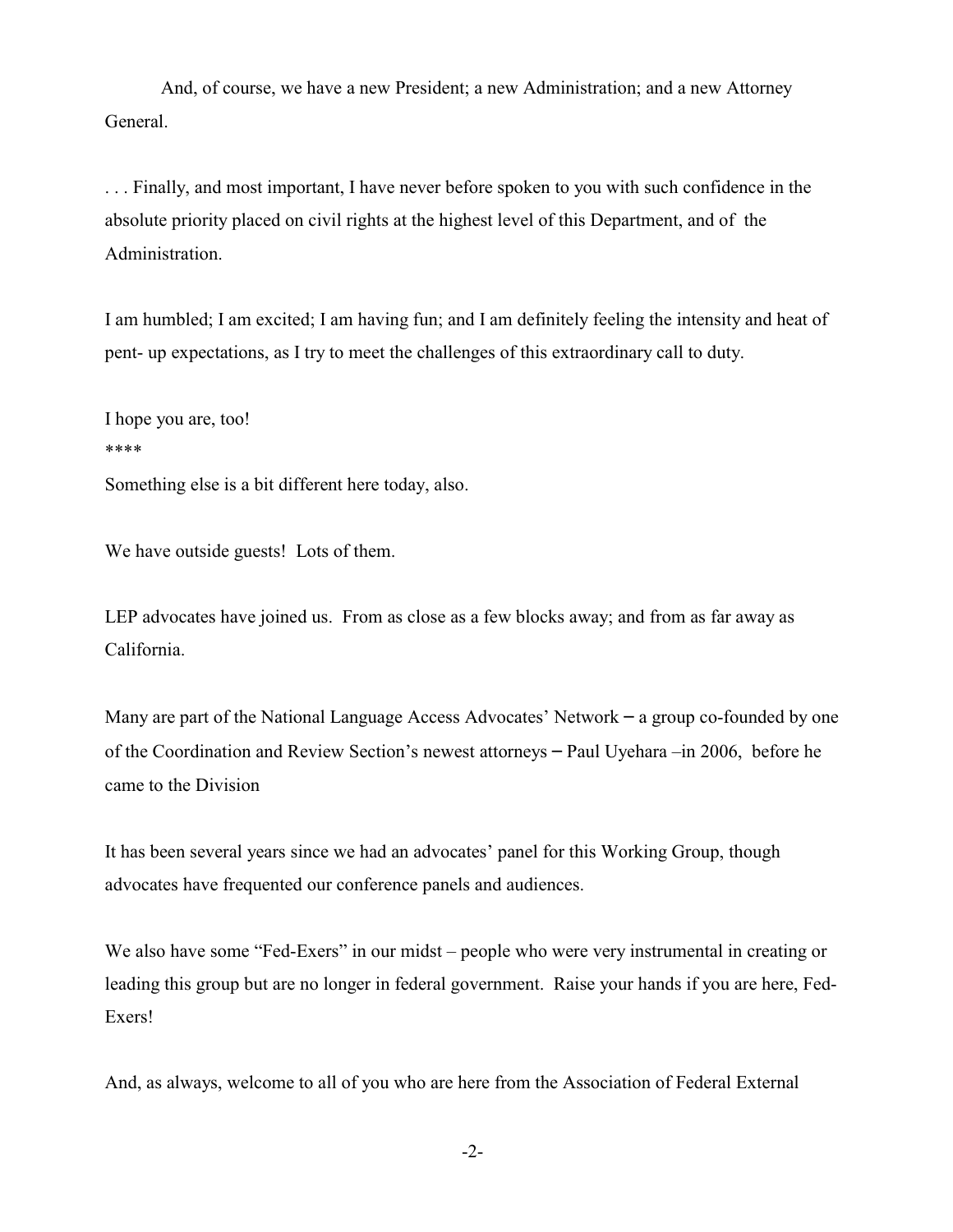And, of course, we have a new President; a new Administration; and a new Attorney General.

. . . Finally, and most important, I have never before spoken to you with such confidence in the absolute priority placed on civil rights at the highest level of this Department, and of the Administration.

I am humbled; I am excited; I am having fun; and I am definitely feeling the intensity and heat of pent- up expectations, as I try to meet the challenges of this extraordinary call to duty.

I hope you are, too! \*\*\*\* Something else is a bit different here today, also.

We have outside guests! Lots of them.

LEP advocates have joined us. From as close as a few blocks away; and from as far away as California.

Many are part of the National Language Access Advocates' Network – a group co-founded by one of the Coordination and Review Section's newest attorneys – Paul Uyehara –in 2006, before he came to the Division

It has been several years since we had an advocates' panel for this Working Group, though advocates have frequented our conference panels and audiences.

We also have some "Fed-Exers" in our midst – people who were very instrumental in creating or leading this group but are no longer in federal government. Raise your hands if you are here, Fed-Exers!

And, as always, welcome to all of you who are here from the Association of Federal External

-2-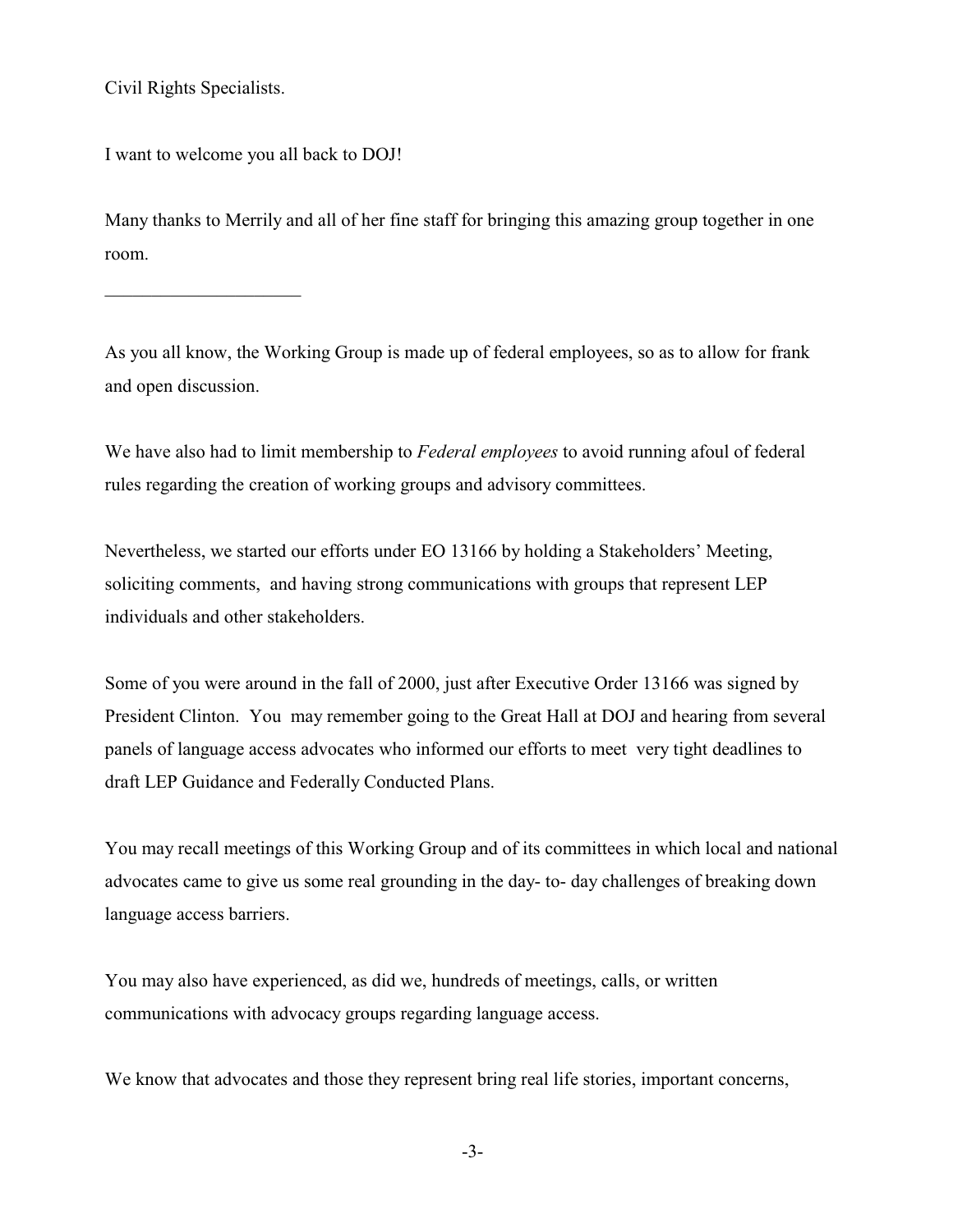Civil Rights Specialists.

 $\overline{\phantom{a}}$  , and the set of the set of the set of the set of the set of the set of the set of the set of the set of the set of the set of the set of the set of the set of the set of the set of the set of the set of the s

and open discussion.

I want to welcome you all back to DOJ!

Many thanks to Merrily and all of her fine staff for bringing this amazing group together in one room.

As you all know, the Working Group is made up of federal employees, so as to allow for frank

We have also had to limit membership to *Federal employees* to avoid running afoul of federal rules regarding the creation of working groups and advisory committees.

Nevertheless, we started our efforts under EO 13166 by holding a Stakeholders' Meeting, soliciting comments, and having strong communications with groups that represent LEP individuals and other stakeholders.

Some of you were around in the fall of 2000, just after Executive Order 13166 was signed by President Clinton. You may remember going to the Great Hall at DOJ and hearing from several panels of language access advocates who informed our efforts to meet very tight deadlines to draft LEP Guidance and Federally Conducted Plans.

You may recall meetings of this Working Group and of its committees in which local and national advocates came to give us some real grounding in the day- to- day challenges of breaking down language access barriers.

You may also have experienced, as did we, hundreds of meetings, calls, or written communications with advocacy groups regarding language access.

We know that advocates and those they represent bring real life stories, important concerns,

-3-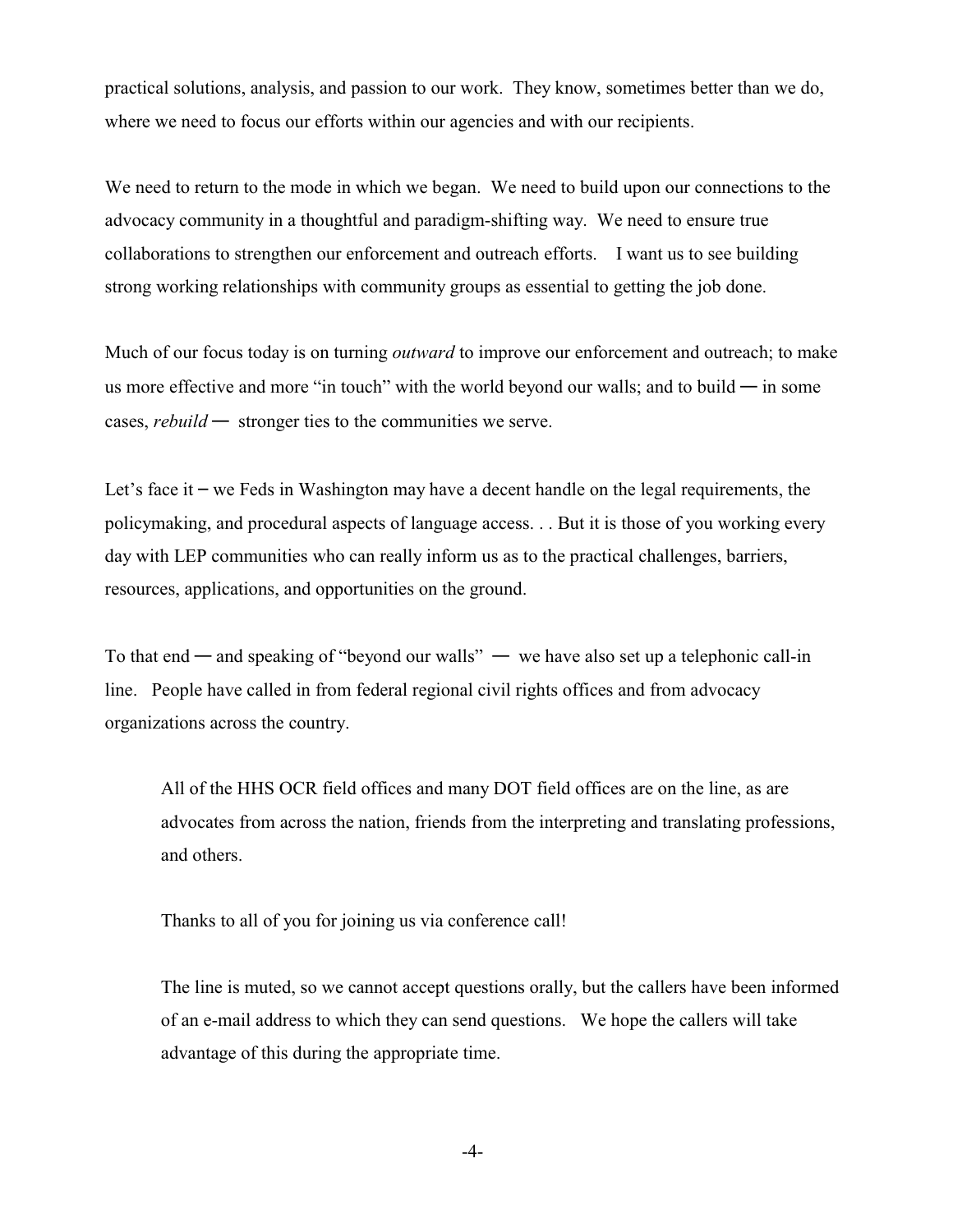practical solutions, analysis, and passion to our work. They know, sometimes better than we do, where we need to focus our efforts within our agencies and with our recipients.

We need to return to the mode in which we began. We need to build upon our connections to the advocacy community in a thoughtful and paradigm-shifting way. We need to ensure true collaborations to strengthen our enforcement and outreach efforts. I want us to see building strong working relationships with community groups as essential to getting the job done.

Much of our focus today is on turning *outward* to improve our enforcement and outreach; to make us more effective and more "in touch" with the world beyond our walls; and to build  $-$  in some cases, *rebuild* — stronger ties to the communities we serve.

Let's face it – we Feds in Washington may have a decent handle on the legal requirements, the policymaking, and procedural aspects of language access. . . But it is those of you working every day with LEP communities who can really inform us as to the practical challenges, barriers, resources, applications, and opportunities on the ground.

To that end — and speaking of "beyond our walls" — we have also set up a telephonic call-in line. People have called in from federal regional civil rights offices and from advocacy organizations across the country.

All of the HHS OCR field offices and many DOT field offices are on the line, as are advocates from across the nation, friends from the interpreting and translating professions, and others.

Thanks to all of you for joining us via conference call!

The line is muted, so we cannot accept questions orally, but the callers have been informed of an e-mail address to which they can send questions. We hope the callers will take advantage of this during the appropriate time.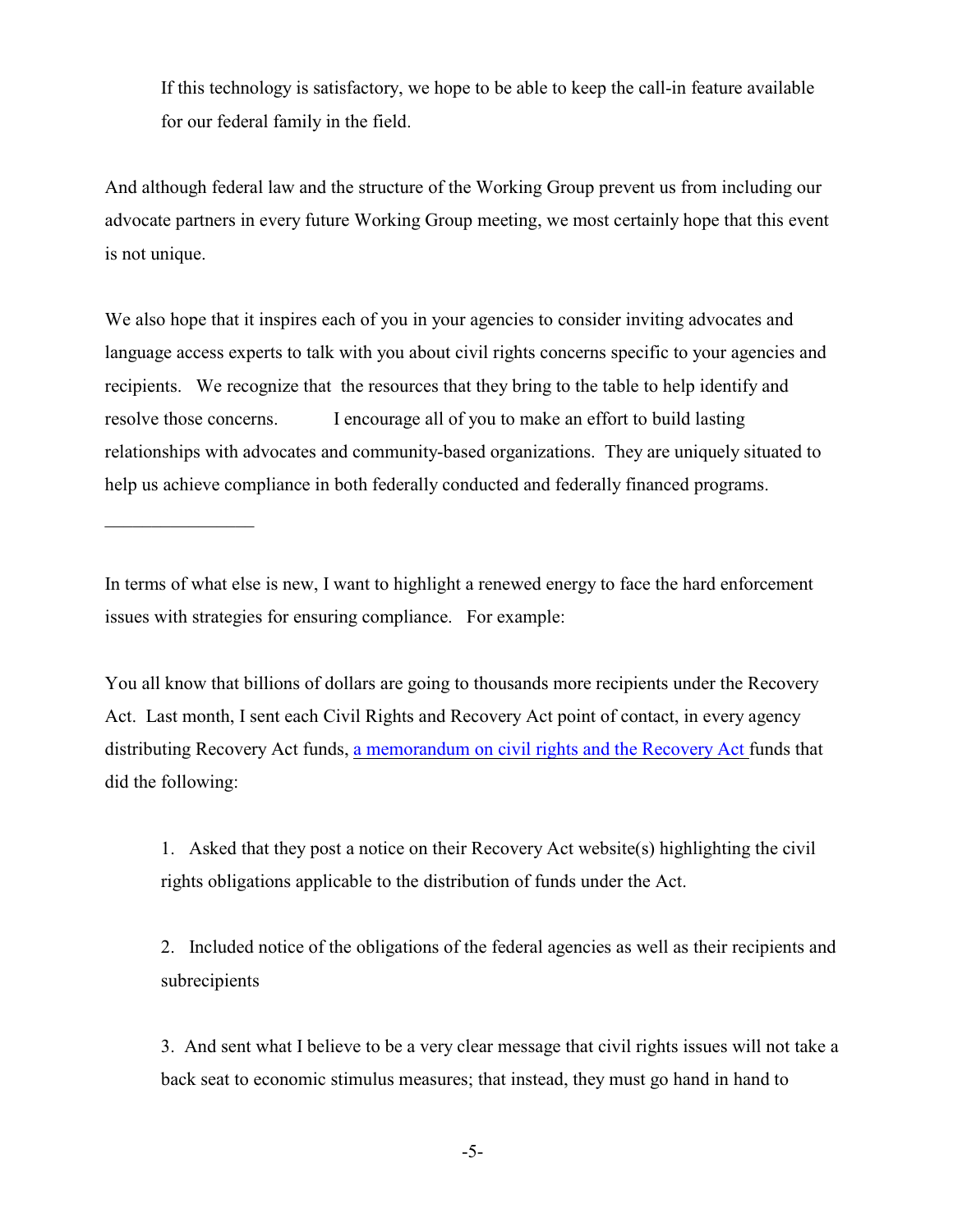If this technology is satisfactory, we hope to be able to keep the call-in feature available for our federal family in the field.

And although federal law and the structure of the Working Group prevent us from including our advocate partners in every future Working Group meeting, we most certainly hope that this event is not unique.

We also hope that it inspires each of you in your agencies to consider inviting advocates and language access experts to talk with you about civil rights concerns specific to your agencies and recipients. We recognize that the resources that they bring to the table to help identify and resolve those concerns. I encourage all of you to make an effort to build lasting relationships with advocates and community-based organizations. They are uniquely situated to help us achieve compliance in both federally conducted and federally financed programs.

In terms of what else is new, I want to highlight a renewed energy to face the hard enforcement issues with strategies for ensuring compliance. For example:

 $\overline{\phantom{a}}$  , where  $\overline{\phantom{a}}$ 

You all know that billions of dollars are going to thousands more recipients under the Recovery Act. Last month, I sent each Civil Rights and Recovery Act point of contact, in every agency distributing Recovery Act funds, [a memorandum on civil rights and the Recovery Act](http://www.usdoj.gov/crt/cor/RecoveryActNotice09.pdf) funds that did the following:

1. Asked that they post a notice on their Recovery Act website(s) highlighting the civil rights obligations applicable to the distribution of funds under the Act.

2. Included notice of the obligations of the federal agencies as well as their recipients and subrecipients

3. And sent what I believe to be a very clear message that civil rights issues will not take a back seat to economic stimulus measures; that instead, they must go hand in hand to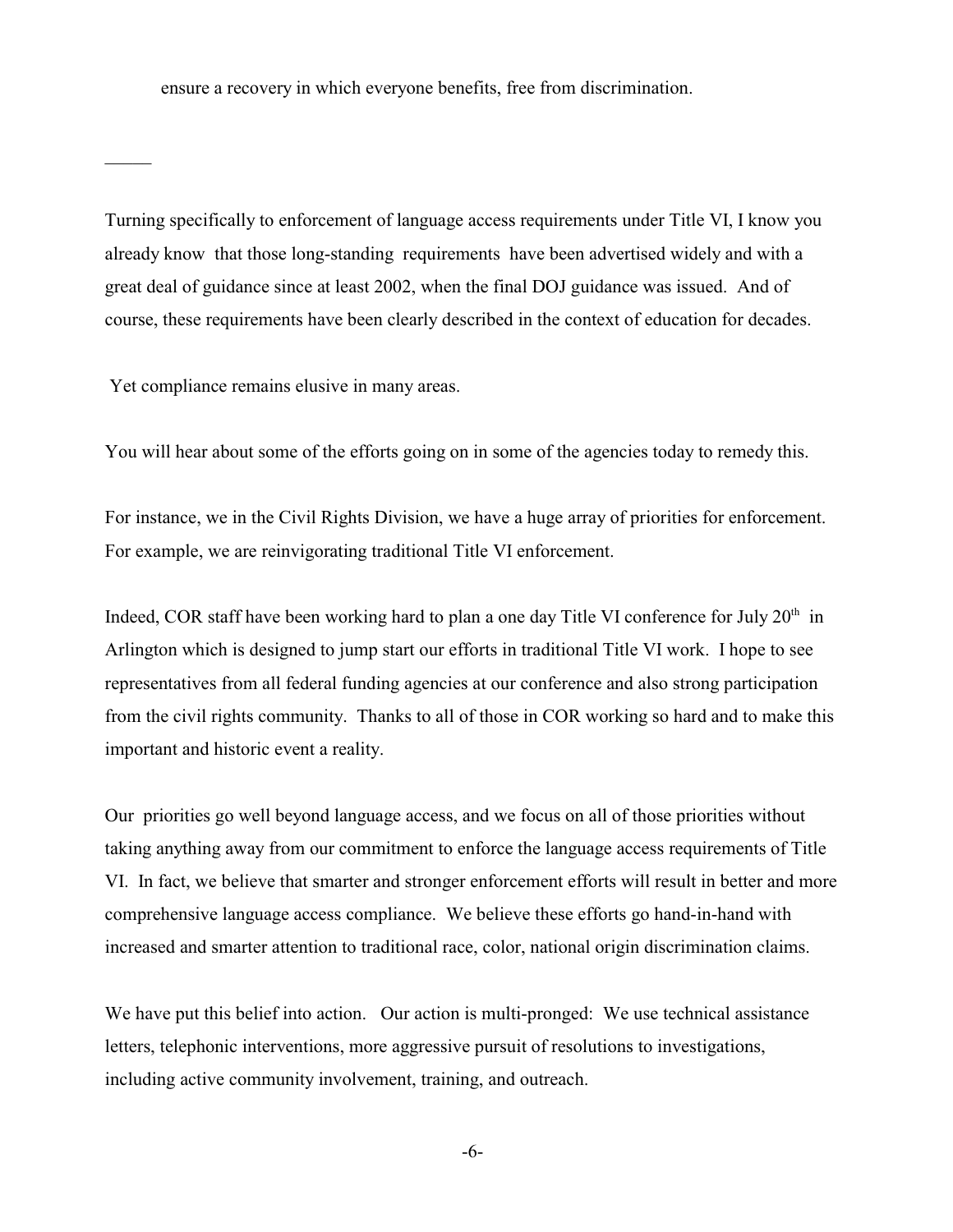ensure a recovery in which everyone benefits, free from discrimination.

Turning specifically to enforcement of language access requirements under Title VI, I know you already know that those long-standing requirements have been advertised widely and with a great deal of guidance since at least 2002, when the final DOJ guidance was issued. And of course, these requirements have been clearly described in the context of education for decades.

Yet compliance remains elusive in many areas.

 $\mathcal{L}$ 

You will hear about some of the efforts going on in some of the agencies today to remedy this.

For instance, we in the Civil Rights Division, we have a huge array of priorities for enforcement. For example, we are reinvigorating traditional Title VI enforcement.

Indeed, COR staff have been working hard to plan a one day Title VI conference for July  $20<sup>th</sup>$  in Arlington which is designed to jump start our efforts in traditional Title VI work. I hope to see representatives from all federal funding agencies at our conference and also strong participation from the civil rights community. Thanks to all of those in COR working so hard and to make this important and historic event a reality.

Our priorities go well beyond language access, and we focus on all of those priorities without taking anything away from our commitment to enforce the language access requirements of Title VI. In fact, we believe that smarter and stronger enforcement efforts will result in better and more comprehensive language access compliance. We believe these efforts go hand-in-hand with increased and smarter attention to traditional race, color, national origin discrimination claims.

We have put this belief into action. Our action is multi-pronged: We use technical assistance letters, telephonic interventions, more aggressive pursuit of resolutions to investigations, including active community involvement, training, and outreach.

-6-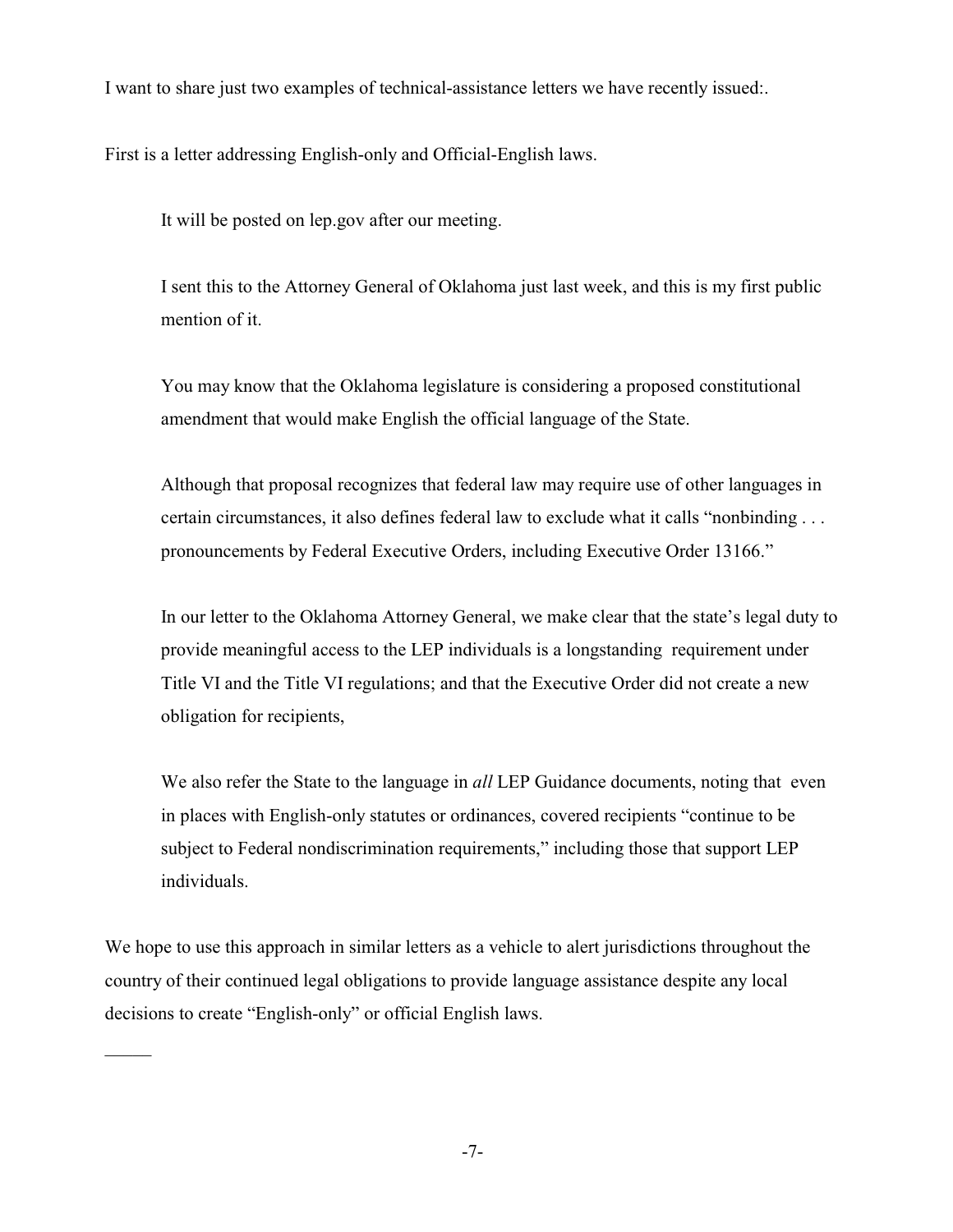I want to share just two examples of technical-assistance letters we have recently issued:.

First is a letter addressing English-only and Official-English laws.

It will be posted on lep.gov after our meeting.

I sent this to the Attorney General of Oklahoma just last week, and this is my first public mention of it.

You may know that the Oklahoma legislature is considering a proposed constitutional amendment that would make English the official language of the State.

Although that proposal recognizes that federal law may require use of other languages in certain circumstances, it also defines federal law to exclude what it calls "nonbinding . . . pronouncements by Federal Executive Orders, including Executive Order 13166."

In our letter to the Oklahoma Attorney General, we make clear that the state's legal duty to provide meaningful access to the LEP individuals is a longstanding requirement under Title VI and the Title VI regulations; and that the Executive Order did not create a new obligation for recipients,

We also refer the State to the language in *all* LEP Guidance documents, noting that even in places with English-only statutes or ordinances, covered recipients "continue to be subject to Federal nondiscrimination requirements," including those that support LEP individuals.

We hope to use this approach in similar letters as a vehicle to alert jurisdictions throughout the country of their continued legal obligations to provide language assistance despite any local decisions to create "English-only" or official English laws.

 $\overline{\phantom{a}}$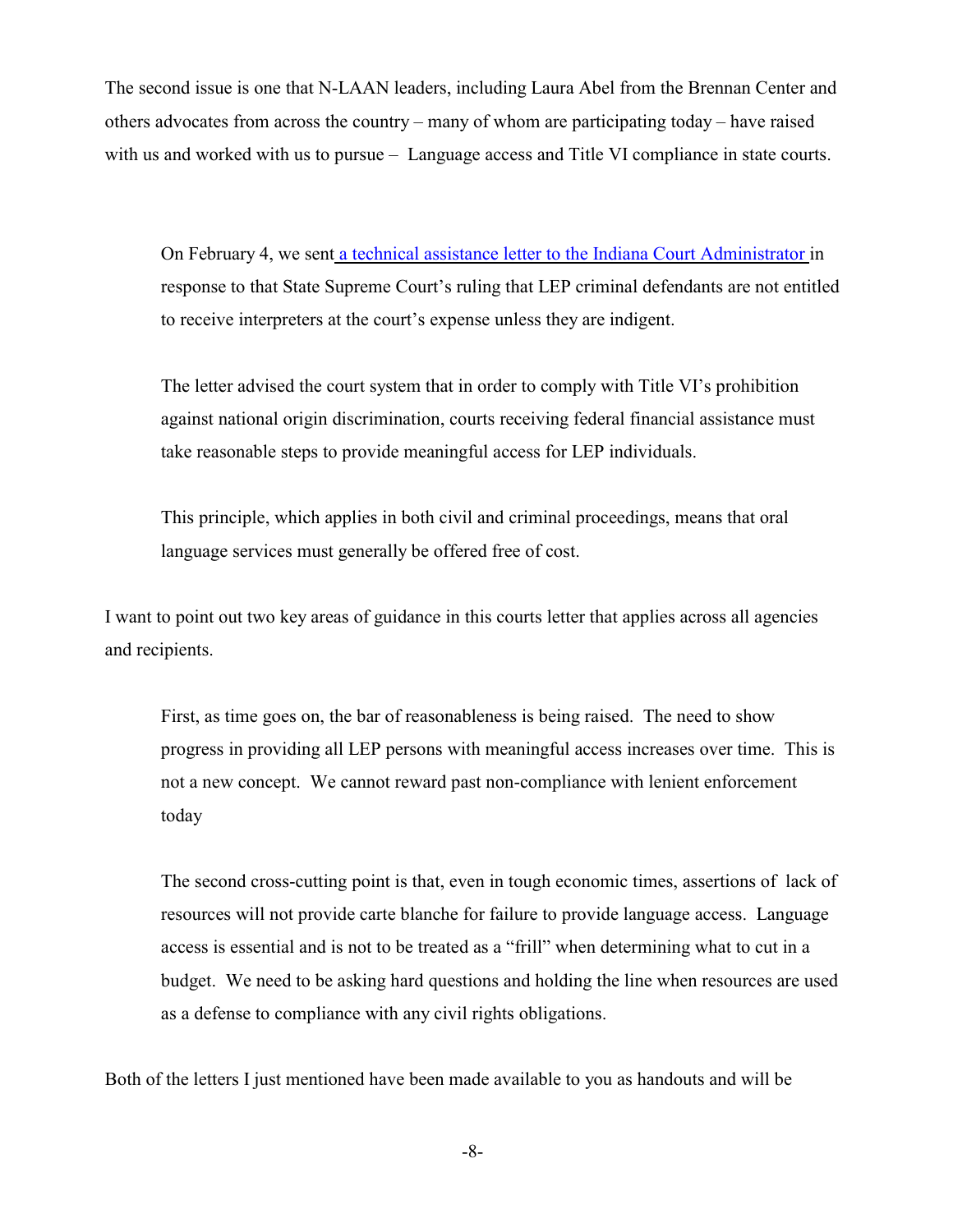The second issue is one that N-LAAN leaders, including Laura Abel from the Brennan Center and others advocates from across the country – many of whom are participating today – have raised with us and worked with us to pursue – Language access and Title VI compliance in state courts.

On February 4, we sen[t a technical assistance letter to the Indiana Court Administrator](http://www.lep.gov/whats_new/IndianaCourtsLetterfromMAF2009.pdf) in response to that State Supreme Court's ruling that LEP criminal defendants are not entitled to receive interpreters at the court's expense unless they are indigent.

The letter advised the court system that in order to comply with Title VI's prohibition against national origin discrimination, courts receiving federal financial assistance must take reasonable steps to provide meaningful access for LEP individuals.

This principle, which applies in both civil and criminal proceedings, means that oral language services must generally be offered free of cost.

I want to point out two key areas of guidance in this courts letter that applies across all agencies and recipients.

First, as time goes on, the bar of reasonableness is being raised. The need to show progress in providing all LEP persons with meaningful access increases over time. This is not a new concept. We cannot reward past non-compliance with lenient enforcement today

The second cross-cutting point is that, even in tough economic times, assertions of lack of resources will not provide carte blanche for failure to provide language access. Language access is essential and is not to be treated as a "frill" when determining what to cut in a budget. We need to be asking hard questions and holding the line when resources are used as a defense to compliance with any civil rights obligations.

Both of the letters I just mentioned have been made available to you as handouts and will be

-8-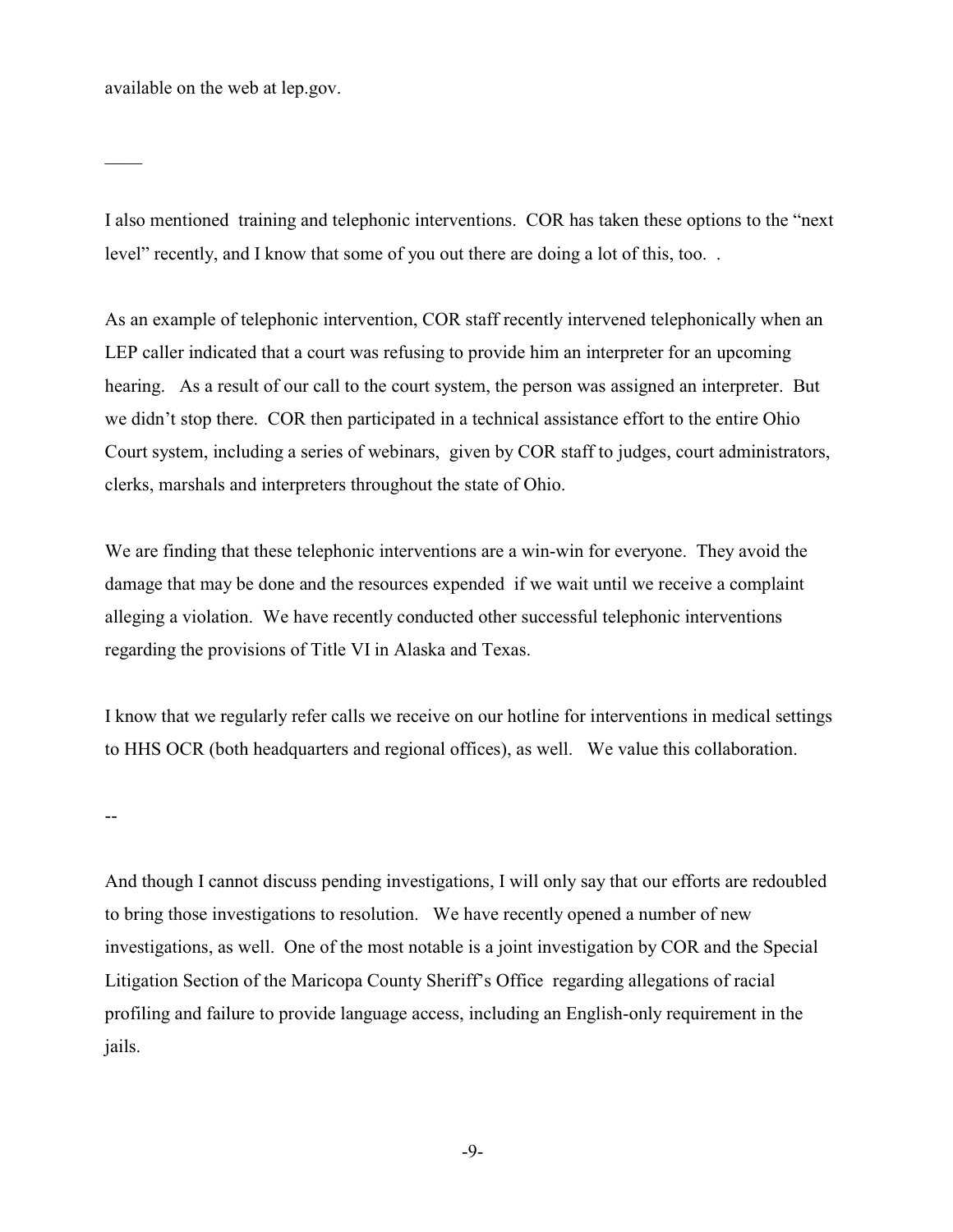available on the web at lep.gov.

 $\overline{\phantom{a}}$ 

I also mentioned training and telephonic interventions. COR has taken these options to the "next level" recently, and I know that some of you out there are doing a lot of this, too. .

As an example of telephonic intervention, COR staff recently intervened telephonically when an LEP caller indicated that a court was refusing to provide him an interpreter for an upcoming hearing. As a result of our call to the court system, the person was assigned an interpreter. But we didn't stop there. COR then participated in a technical assistance effort to the entire Ohio Court system, including a series of webinars, given by COR staff to judges, court administrators, clerks, marshals and interpreters throughout the state of Ohio.

We are finding that these telephonic interventions are a win-win for everyone. They avoid the damage that may be done and the resources expended if we wait until we receive a complaint alleging a violation. We have recently conducted other successful telephonic interventions regarding the provisions of Title VI in Alaska and Texas.

I know that we regularly refer calls we receive on our hotline for interventions in medical settings to HHS OCR (both headquarters and regional offices), as well. We value this collaboration.

--

And though I cannot discuss pending investigations, I will only say that our efforts are redoubled to bring those investigations to resolution. We have recently opened a number of new investigations, as well. One of the most notable is a joint investigation by COR and the Special Litigation Section of the Maricopa County Sheriff's Office regarding allegations of racial profiling and failure to provide language access, including an English-only requirement in the jails.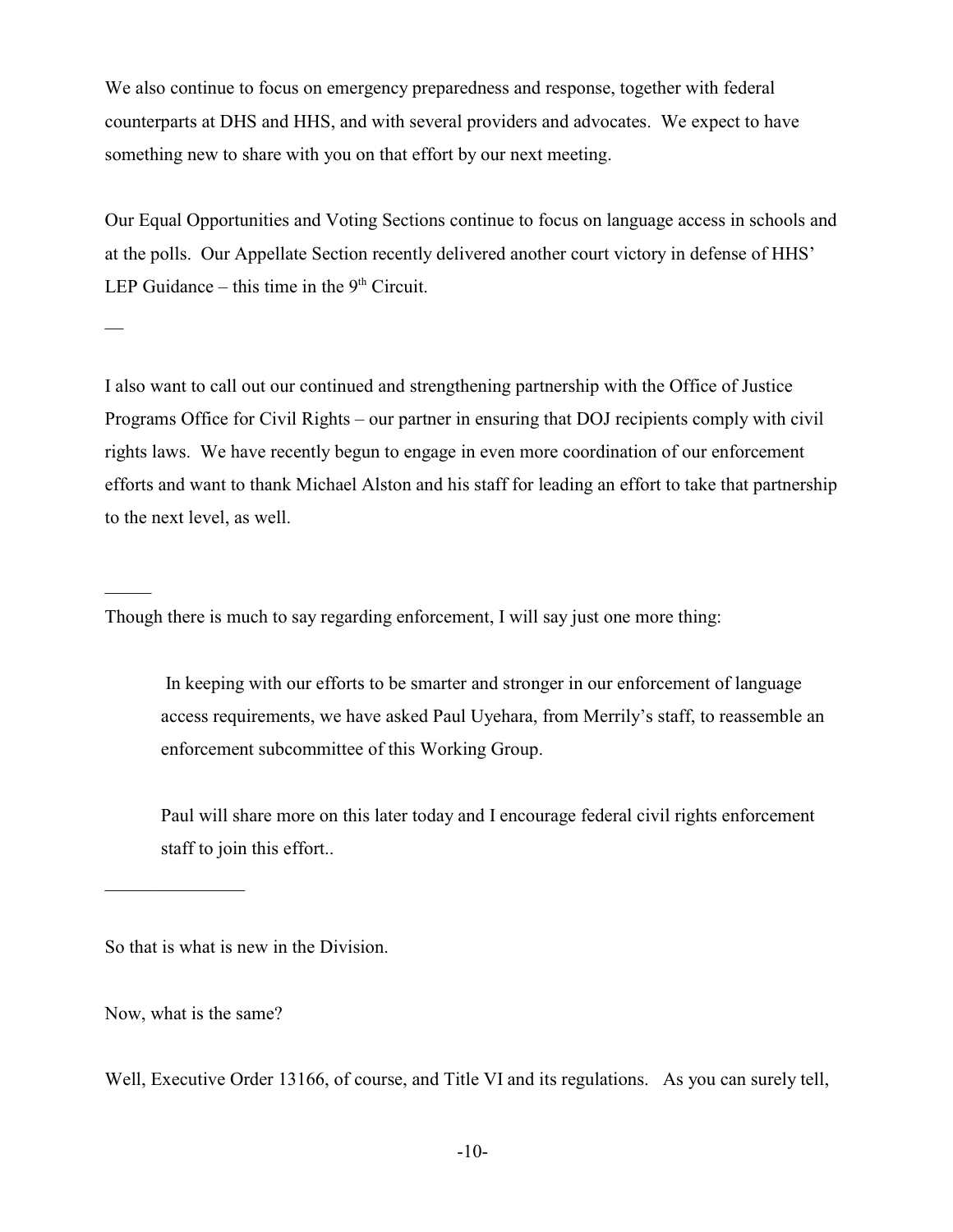We also continue to focus on emergency preparedness and response, together with federal counterparts at DHS and HHS, and with several providers and advocates. We expect to have something new to share with you on that effort by our next meeting.

Our Equal Opportunities and Voting Sections continue to focus on language access in schools and at the polls. Our Appellate Section recently delivered another court victory in defense of HHS' LEP Guidance – this time in the  $9<sup>th</sup>$  Circuit.

I also want to call out our continued and strengthening partnership with the Office of Justice Programs Office for Civil Rights – our partner in ensuring that DOJ recipients comply with civil rights laws. We have recently begun to engage in even more coordination of our enforcement efforts and want to thank Michael Alston and his staff for leading an effort to take that partnership to the next level, as well.

Though there is much to say regarding enforcement, I will say just one more thing:

 In keeping with our efforts to be smarter and stronger in our enforcement of language access requirements, we have asked Paul Uyehara, from Merrily's staff, to reassemble an enforcement subcommittee of this Working Group.

Paul will share more on this later today and I encourage federal civil rights enforcement staff to join this effort..

So that is what is new in the Division.

Now, what is the same?

 $\overline{\phantom{a}}$  , where  $\overline{\phantom{a}}$ 

 $\overline{\phantom{0}}$ 

 $\mathcal{L}$ 

Well, Executive Order 13166, of course, and Title VI and its regulations. As you can surely tell,

-10-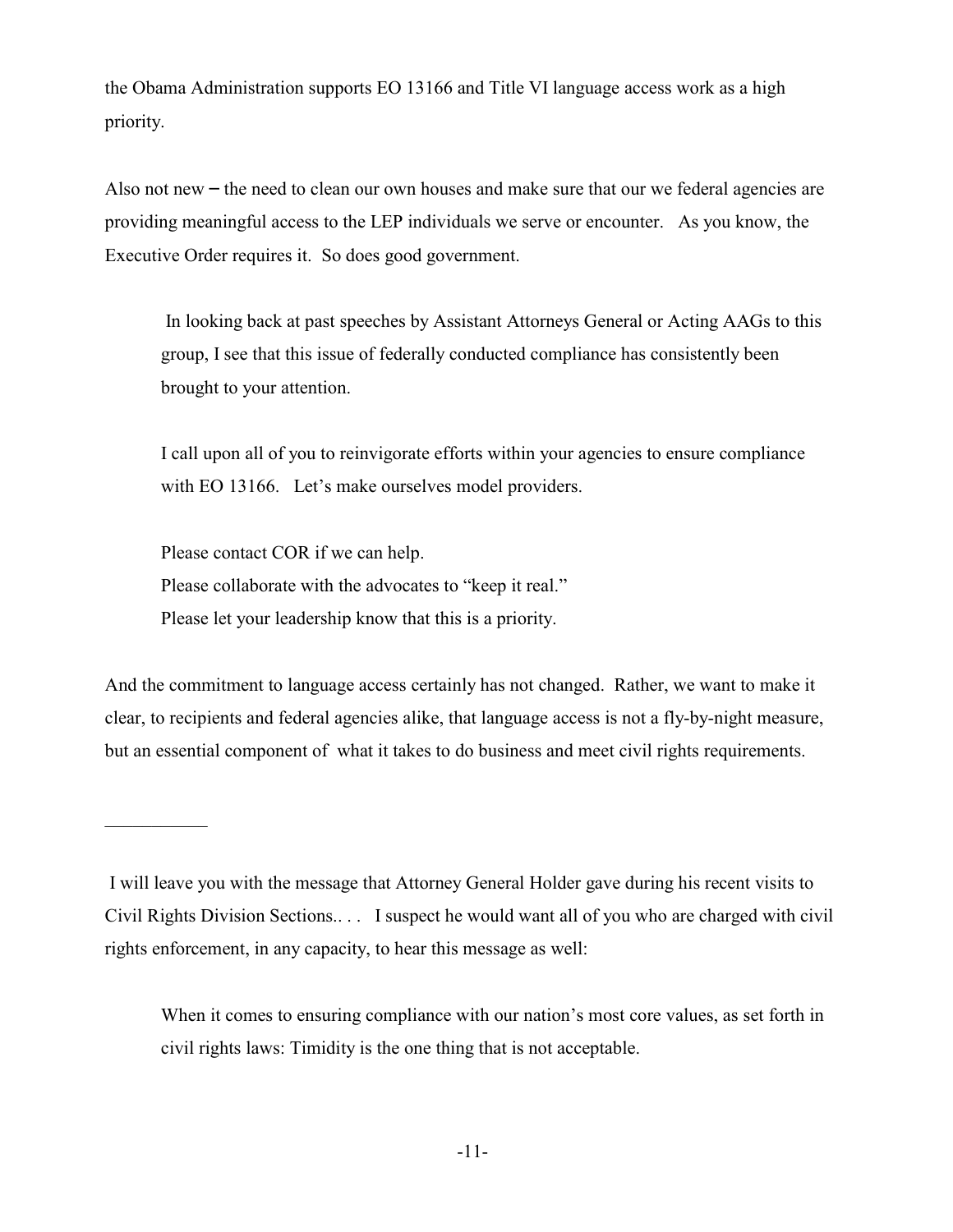the Obama Administration supports EO 13166 and Title VI language access work as a high priority.

Also not new  $-$  the need to clean our own houses and make sure that our we federal agencies are providing meaningful access to the LEP individuals we serve or encounter. As you know, the Executive Order requires it. So does good government.

 In looking back at past speeches by Assistant Attorneys General or Acting AAGs to this group, I see that this issue of federally conducted compliance has consistently been brought to your attention.

I call upon all of you to reinvigorate efforts within your agencies to ensure compliance with EO 13166. Let's make ourselves model providers.

Please contact COR if we can help. Please collaborate with the advocates to "keep it real." Please let your leadership know that this is a priority.

 $\frac{1}{2}$  ,  $\frac{1}{2}$  ,  $\frac{1}{2}$  ,  $\frac{1}{2}$  ,  $\frac{1}{2}$  ,  $\frac{1}{2}$ 

And the commitment to language access certainly has not changed. Rather, we want to make it clear, to recipients and federal agencies alike, that language access is not a fly-by-night measure, but an essential component of what it takes to do business and meet civil rights requirements.

When it comes to ensuring compliance with our nation's most core values, as set forth in civil rights laws: Timidity is the one thing that is not acceptable.

I will leave you with the message that Attorney General Holder gave during his recent visits to Civil Rights Division Sections.. . . I suspect he would want all of you who are charged with civil rights enforcement, in any capacity, to hear this message as well: